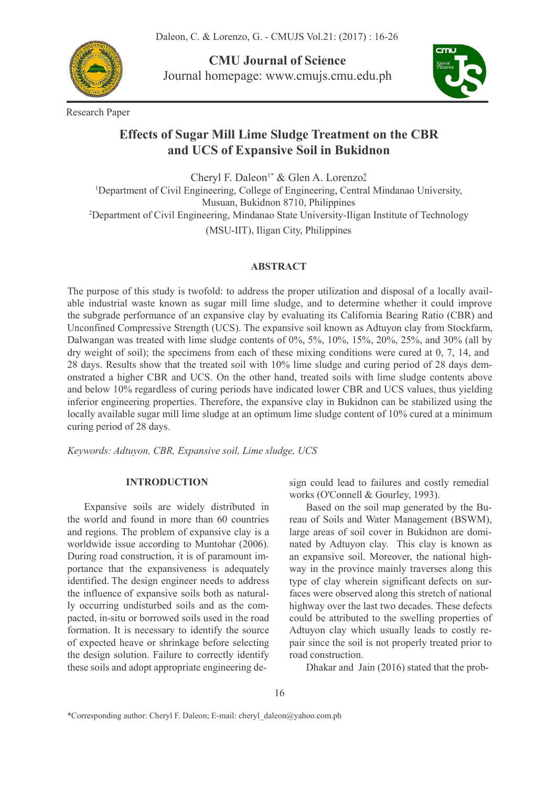Daleon, C. & Lorenzo, G. - CMUJS Vol.21: (2017) : 16-26



**CMU Journal of Science** Journal homepage: [www.cmujs.cmu.edu.ph](http://www.cmujs.cmu.edu.ph)



Research Paper

# **Effects ofSugar Mill Lime Sludge Treatment on the CBR and UCS of Expansive Soil in Bukidnon**

Cheryl F. Daleon 1\* & Glen A. Lorenzo2 <sup>1</sup>Department of Civil Engineering, College of Engineering, Central Mindanao University, Musuan, Bukidnon 8710, Philippines <sup>2</sup>Department of Civil Engineering, Mindanao State University-Iligan Institute of Technology (MSU-IIT), Iligan City, Philippines

## **ABSTRACT**

The purpose of this study is twofold: to address the proper utilization and disposal of a locally avail able industrial waste known as sugar mill lime sludge, and to determine whether it could improve the subgrade performance of an expansive clay by evaluating its California Bearing Ratio (CBR) and Unconfined Compressive Strength (UCS). The expansive soil known as Adtuyon clay from Stockfarm, Dalwangan was treated with lime sludge contents of 0%, 5%, 10%, 15%, 20%, 25%, and 30% (all by dry weight of soil); the specimens from each of these mixing conditions were cured at  $0, 7, 14$ , and 28 days. Results show that the treated soil with 10% lime sludge and curing period of 28 days demonstrated a higher CBR and UCS. On the other hand, treated soils with lime sludge contents above and below 10% regardless of curing periods have indicated lower CBR and UCS values, thus yielding inferior engineering properties. Therefore, the expansive clay in Bukidnon can be stabilized using the locally available sugar mill lime sludge at an optimum lime sludge content of 10% cured at a minimum curing period of 28 days.

*Keywords: Adtuyon, CBR, Expansive soil, Lime sludge, UCS*

## **INTRODUCTION**

Expansive soils are widely distributed in the world and found in more than 60 countries and regions. The problem of expansive clay is a worldwide issue according to Muntohar (2006). During road construction, it is of paramount im portance that the expansiveness is adequately identified. The design engineer needs to address the influence of expansive soils both as naturally occurring undisturbed soils and as the com pacted, in-situ or borrowed soils used in the road formation. It is necessary to identify the source of expected heave or shrinkage before selecting the design solution. Failure to correctly identify these soils and adopt appropriate engineering design could lead to failures and costly remedial works (O'Connell & Gourley, 1993).

Based on the soil map generated by the Bureau of Soils and Water Management (BSWM), large areas of soil cover in Bukidnon are domi nated by Adtuyon clay. This clay is known as an expansive soil. Moreover, the national high way in the province mainly traverses along this type of clay wherein significant defects on surfaces were observed along this stretch of national highway over the last two decades. These defects could be attributed to the swelling properties of Adtuyon clay which usually leads to costly re pair since the soil is not properly treated prior to road construction.

Dhakar and Jain (2016) stated that the prob-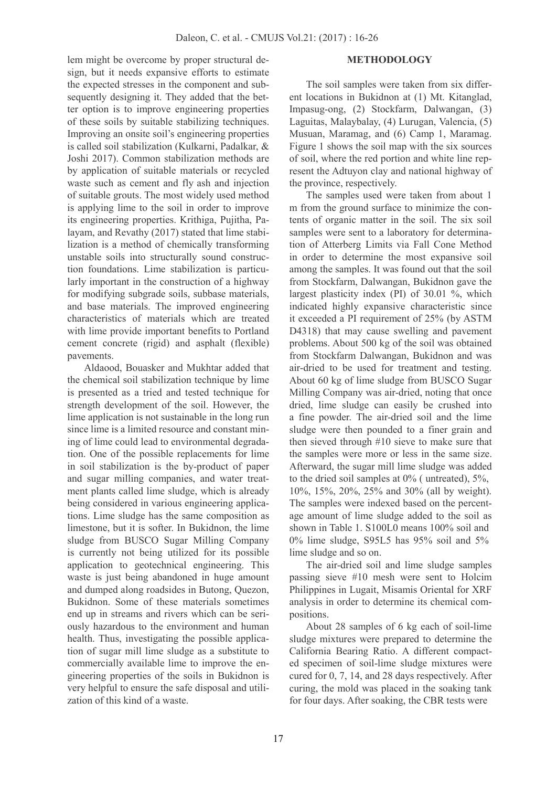lem might be overcome by proper structural de sign, but it needs expansive efforts to estimate the expected stresses in the component and sub sequently designing it. They added that the better option is to improve engineering properties of these soils by suitable stabilizing techniques. Improving an onsite soil's engineering properties is called soil stabilization (Kulkarni, Padalkar, & Joshi 2017). Common stabilization methods are by application of suitable materials or recycled waste such as cement and fly ash and injection of suitable grouts. The most widely used method is applying lime to the soil in order to improve its engineering properties. Krithiga, Pujitha, Palayam, and Revathy (2017) stated that lime stabilization is a method of chemically transforming unstable soils into structurally sound construction foundations. Lime stabilization is particularly important in the construction of a highway for modifying subgrade soils, subbase materials, and base materials. The improved engineering characteristics of materials which are treated with lime provide important benefits to Portland cement concrete (rigid) and asphalt (flexible) pavements.

Aldaood, Bouasker and Mukhtar added that the chemical soil stabilization technique by lime is presented as a tried and tested technique for strength development of the soil. However, the lime application is not sustainable in the long run since lime is a limited resource and constant mining of lime could lead to environmental degradation. One of the possible replacements for lime in soil stabilization is the by-product of paper and sugar milling companies, and water treat ment plants called lime sludge, which is already being considered in various engineering applications. Lime sludge has the same composition as limestone, but it is softer. In Bukidnon, the lime sludge from BUSCO Sugar Milling Company is currently not being utilized for its possible application to geotechnical engineering. This waste is just being abandoned in huge amount and dumped along roadsides in Butong, Quezon, Bukidnon. Some of these materials sometimes end up in streams and rivers which can be seri-ously hazardous to the environment and human health. Thus, investigating the possible application of sugar mill lime sludge as a substitute to commercially available lime to improve the en gineering properties of the soils in Bukidnon is very helpful to ensure the safe disposal and utili zation of this kind of a waste.

#### **METHODOLOGY**

The soil samples were taken from six differ ent locations in Bukidnon at (1) Mt. Kitanglad, Impasug-ong, (2) Stockfarm, Dalwangan, (3) Laguitas, Malaybalay, (4) Lurugan, Valencia, (5) Musuan, Maramag, and (6) Camp 1, Maramag. Figure 1 shows the soil map with the six sources of soil, where the red portion and white line represent the Adtuyon clay and national highway of the province, respectively.

The samples used were taken from about 1 m from the ground surface to minimize the contents of organic matter in the soil. The six soil samples were sent to a laboratory for determination of Atterberg Limits via Fall Cone Method in order to determine the most expansive soil among the samples.It was found out that the soil from Stockfarm, Dalwangan, Bukidnon gave the largest plasticity index (PI) of 30.01 %, which indicated highly expansive characteristic since it exceeded a PI requirement of 25% (by ASTM D4318) that may cause swelling and pavement problems. About 500 kg of the soil was obtained from Stockfarm Dalwangan, Bukidnon and was air-dried to be used for treatment and testing. About 60 kg of lime sludge from BUSCO Sugar Milling Company was air-dried, noting that once dried, lime sludge can easily be crushed into a fine powder. The air-dried soil and the lime sludge were then pounded to a finer grain and then sieved through #10 sieve to make sure that the samples were more or less in the same size. Afterward, the sugar mill lime sludge was added to the dried soil samples at 0% ( untreated), 5%, 10%, 15%, 20%, 25% and 30% (all by weight). The samples were indexed based on the percent age amount of lime sludge added to the soil as shown in Table 1. S100L0 means 100% soil and 0% lime sludge, S95L5 has 95% soil and 5% lime sludge and so on.

The air-dried soil and lime sludge samples passing sieve #10 mesh were sent to Holcim Philippines in Lugait, Misamis Oriental for XRF analysis in order to determine its chemical com positions.

About 28 samples of 6 kg each of soil-lime sludge mixtures were prepared to determine the California Bearing Ratio. A different compact ed specimen of soil-lime sludge mixtures were cured for  $0, 7, 14$ , and  $28$  days respectively. After curing, the mold was placed in the soaking tank for four days. After soaking, the CBR tests were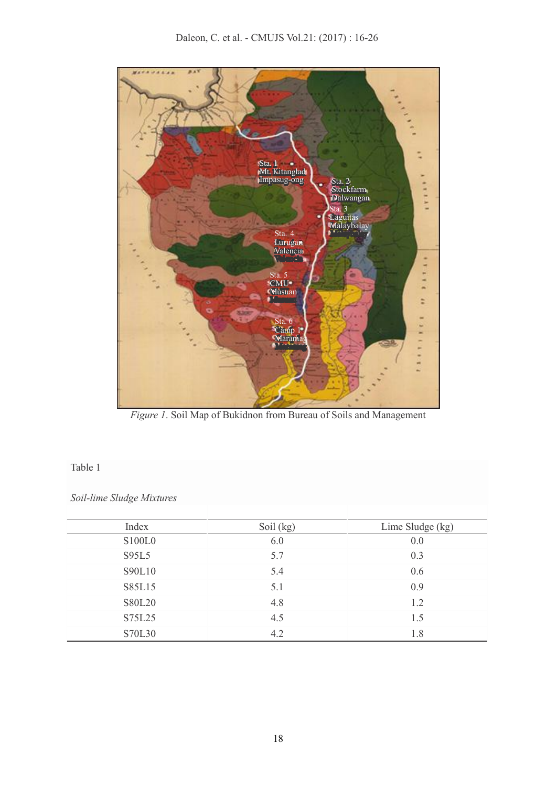

*Figure 1*. Soil Map of Bukidnon from Bureau of Soils and Management

## Table 1

*Soil-lime Sludge Mixtures*

| Index         | Soil (kg) | Lime Sludge (kg) |
|---------------|-----------|------------------|
| S100L0        | 6.0       | 0.0              |
| S95L5         | 5.7       | 0.3              |
| S90L10        | 5.4       | 0.6              |
| S85L15        | 5.1       | 0.9              |
| <b>S80L20</b> | 4.8       | 1.2              |
| S75L25        | 4.5       | 1.5              |
| S70L30        | 4.2       | 1.8              |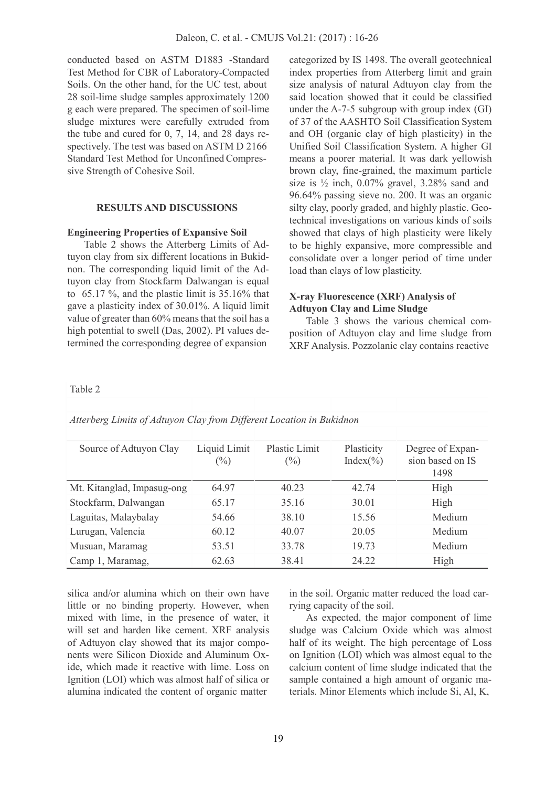conducted based on ASTM D1883 -Standard Test Method for CBR of Laboratory-Compacted Soils. On the other hand, for the UC test, about 28 soil-lime sludge samples approximately 1200 g each were prepared. The specimen of soil-lime sludge mixtures were carefully extruded from the tube and cured for 0, 7, 14, and 28 days re spectively. The test was based on ASTM D 2166 Standard Test Method for Unconfined Compres sive Strength of Cohesive Soil.

#### **RESULTS AND DISCUSSIONS**

#### **Engineering Properties of Expansive Soil**

Table 2 shows the Atterberg Limits of Adtuyon clay from six different locations in Bukid non. The corresponding liquid limit of the Adtuyon clay from Stockfarm Dalwangan is equal to 65.17 %, and the plastic limit is 35.16% that gave a plasticity index of 30.01%.A liquid limit value of greater than 60% means that the soil has a high potential to swell (Das, 2002). PI values determined the corresponding degree of expansion

categorized by IS 1498. The overall geotechnical index properties from Atterberg limit and grain size analysis of natural Adtuyon clay from the said location showed that it could be classified under the A-7-5 subgroup with group index (GI) of 37 of the AASHTO Soil Classification System and OH (organic clay of high plasticity) in the Unified Soil Classification System. A higher GI means a poorer material. It was dark yellowish brown clay, fine-grained, the maximum particle size is  $\frac{1}{2}$  inch, 0.07% gravel, 3.28% sand and 96.64% passing sieve no. 200. It was an organic silty clay, poorly graded, and highly plastic. Geotechnical investigations on various kinds of soils showed that clays of high plasticity were likely to be highly expansive, more compressible and consolidate over a longer period of time under load than clays of low plasticity.

## **X-ray Fluorescence (XRF) Analysis of Adtuyon Clay and Lime Sludge**

Table 3 shows the various chemical com position of Adtuyon clay and lime sludge from XRF Analysis. Pozzolanic clay contains reactive

#### Table 2

| Source of Adtuyon Clay     | Liquid Limit<br>$(\%)$ | Plastic Limit<br>$(\%)$ | Plasticity<br>Index $(\% )$ | Degree of Expan-<br>sion based on IS<br>1498 |
|----------------------------|------------------------|-------------------------|-----------------------------|----------------------------------------------|
| Mt. Kitanglad, Impasug-ong | 64.97                  | 40.23                   | 42.74                       | High                                         |
| Stockfarm, Dalwangan       | 65.17                  | 35.16                   | 30.01                       | High                                         |
| Laguitas, Malaybalay       | 54.66                  | 38.10                   | 15.56                       | Medium                                       |
| Lurugan, Valencia          | 60.12                  | 40.07                   | 20.05                       | Medium                                       |
| Musuan, Maramag            | 53.51                  | 33.78                   | 19.73                       | Medium                                       |
| Camp 1, Maramag,           | 62.63                  | 38.41                   | 24.22                       | High                                         |

*Atterberg Limits of Adtuyon Clay from Dif erent Location in Bukidnon*

silica and/or alumina which on their own have little or no binding property. However, when mixed with lime, in the presence of water, it will set and harden like cement. XRF analysis of Adtuyon clay showed that its major compo nents were Silicon Dioxide and Aluminum Oxide, which made it reactive with lime. Loss on Ignition (LOI) which was almost half of silica or alumina indicated the content of organic matter

in the soil. Organic matter reduced the load carrying capacity of the soil.

As expected, the major component of lime sludge was Calcium Oxide which was almost half of its weight. The high percentage of Loss on Ignition (LOI) which was almost equal to the calcium content of lime sludge indicated that the sample contained a high amount of organic materials. Minor Elements which include Si, Al, K,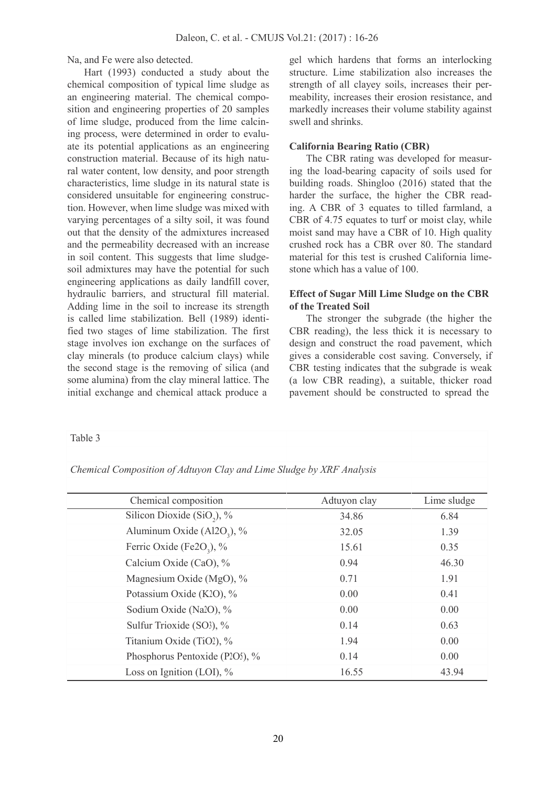Na, and Fe were also detected.

Hart (1993) conducted a study about the chemical composition of typical lime sludge as an engineering material. The chemical compo sition and engineering properties of 20 samples of lime sludge, produced from the lime calcining process, were determined in order to evalu ate its potential applications as an engineering construction material. Because of its high natural water content, low density, and poor strength characteristics, lime sludge in its natural state is considered unsuitable for engineering construction. However, when lime sludge was mixed with varying percentages of a silty soil, it was found out that the density of the admixtures increased and the permeability decreased with an increase in soil content. This suggests that lime sludge soil admixtures may have the potential for such engineering applications as daily landfill cover, hydraulic barriers, and structural fill material. Adding lime in the soil to increase its strength is called lime stabilization. Bell (1989) identified two stages of lime stabilization. The first stage involves ion exchange on the surfaces of clay minerals (to produce calcium clays) while the second stage is the removing of silica (and some alumina) from the clay mineral lattice. The initial exchange and chemical attack produce a

gel which hardens that forms an interlocking structure. Lime stabilization also increases the strength of all clayey soils, increases their per meability, increases their erosion resistance, and markedly increases their volume stability against swell and shrinks.

## **California Bearing Ratio (CBR)**

The CBR rating was developed for measuring the load-bearing capacity of soils used for building roads. Shingloo (2016) stated that the harder the surface, the higher the CBR reading. A CBR of 3 equates to tilled farmland, a CBR of 4.75 equates to turf or moist clay, while moist sand may have a CBR of 10. High quality crushed rock has a CBR over 80.The standard material for this test is crushed California lime stone which has a value of 100.

## **Effect of Sugar Mill Lime Sludge on the CBR of the Treated Soil**

The stronger the subgrade (the higher the CBR reading), the less thick it is necessary to design and construct the road pavement, which gives a considerable cost saving. Conversely, if CBR testing indicates that the subgrade is weak (a low CBR reading), a suitable, thicker road pavement should be constructed to spread the

| Table 3 |  |
|---------|--|
|         |  |

*Chemical Composition of Adtuyon Clay and Lime Sludge by XRF Analysis*

| Chemical composition                   | Adtuyon clay | Lime sludge |
|----------------------------------------|--------------|-------------|
| Silicon Dioxide (SiO <sub>2</sub> ), % | 34.86        | 6.84        |
| Aluminum Oxide $(A12O_3)$ , %          | 32.05        | 1.39        |
| Ferric Oxide (Fe2O <sub>3</sub> ), %   | 15.61        | 0.35        |
| Calcium Oxide (CaO), %                 | 0.94         | 46.30       |
| Magnesium Oxide (MgO), %               | 0.71         | 1.91        |
| Potassium Oxide (K2O), %               | 0.00         | 0.41        |
| Sodium Oxide (Na2O), %                 | 0.00         | 0.00        |
| Sulfur Trioxide (SO3), %               | 0.14         | 0.63        |
| Titanium Oxide (TiO2), %               | 1.94         | 0.00        |
| Phosphorus Pentoxide (P2O5), %         | 0.14         | 0.00        |
| Loss on Ignition (LOI), $\%$           | 16.55        | 43.94       |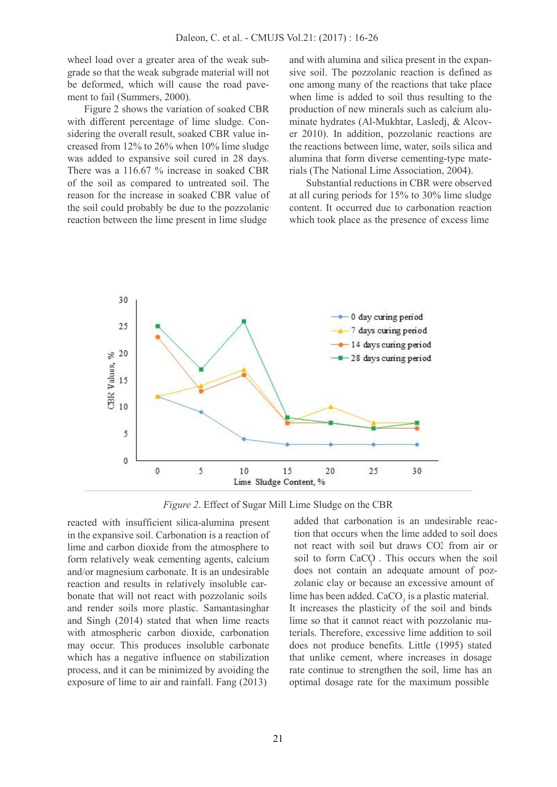wheel load over a greater area of the weak sub grade so that the weak subgrade material will not be deformed, which will cause the road pave ment to fail (Summers, 2000).

Figure 2 shows the variation of soaked CBR with different percentage of lime sludge. Con sidering the overall result, soaked CBR value in creased from 12% to 26% when 10% lime sludge was added to expansive soil cured in 28 days. There was a 116.67 % increase in soaked CBR of the soil as compared to untreated soil. The reason for the increase in soaked CBR value of the soil could probably be due to the pozzolanic reaction between the lime present in lime sludge

and with alumina and silica present in the expansive soil. The pozzolanic reaction is defined as one among many of the reactions that take place when lime is added to soil thus resulting to the production of new minerals such as calcium alu minate hydrates (Al-Mukhtar, Lasledj, & Alcov er 2010). In addition, pozzolanic reactions are the reactions between lime, water, soils silica and alumina that form diverse cementing-type materials (The National Lime Association, 2004).

Substantial reductions in CBR were observed at all curing periods for 15% to 30% lime sludge content. It occurred due to carbonation reaction which took place as the presence of excess lime



*Figure 2*. Effect of Sugar Mill Lime Sludge on the CBR

reacted with insufficient silica-alumina present in the expansive soil. Carbonation is a reaction of lime and carbon dioxide from the atmosphere to form relatively weak cementing agents, calcium and/or magnesium carbonate. It is an undesirable reaction and results in relatively insoluble carand render soils more plastic. Samantasinghar and Singh  $(2014)$  stated that when lime reacts with atmospheric carbon dioxide, carbonation may occur. This produces insoluble carbonate which has a negative influence on stabilization process, and it can be minimized by avoiding the exposure of lime to air and rainfall. Fang (2013)

does not contain an adequate amount of pozbonate that will not react with pozzolanic soils lime has been added.  $CaCO<sub>3</sub>$  is a plastic material. added that carbonation is an undesirable reaction that occurs when the lime added to soil does not react with soil but draws CO2 from air or soil to form CaCO . This occurs when the soil zolanic clay or because an excessive amount of It increases the plasticity of the soil and binds lime so that it cannot react with pozzolanic materials. Therefore, excessive lime addition to soil does not produce benefits. Little (1995) stated that unlike cement, where increases in dosage rate continue to strengthen the soil, lime has an optimal dosage rate for the maximum possible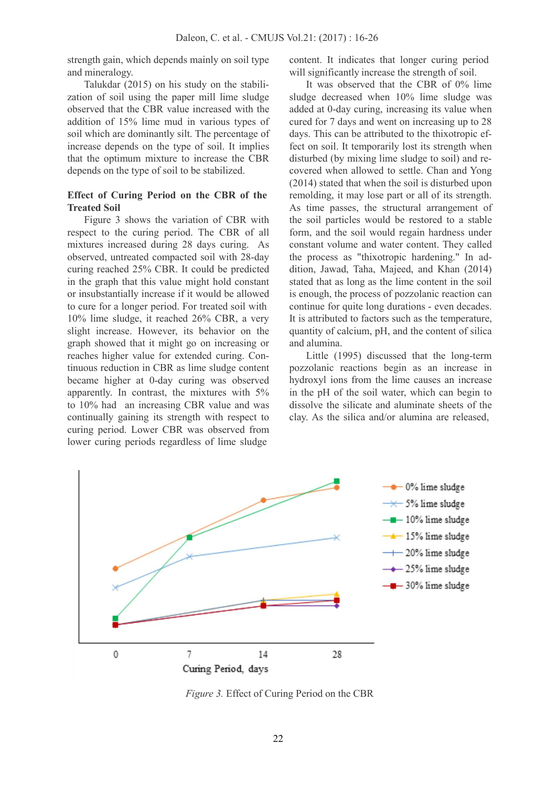strength gain, which depends mainly on soil type and mineralogy.

Talukdar (2015) on his study on the stabili zation of soil using the paper mill lime sludge observed that the CBR value increased with the addition of 15% lime mud in various types of soil which are dominantly silt. The percentage of increase depends on the type of soil. It implies that the optimum mixture to increase the CBR depends on the type of soil to be stabilized.

## **Effect of Curing Period on the CBR of the Treated Soil**

Figure 3 shows the variation of CBR with respect to the curing period. The CBR of all mixtures increased during 28 days curing. As observed, untreated compacted soil with 28-day curing reached 25% CBR.It could be predicted in the graph that this value might hold constant or insubstantially increase if it would be allowed to cure for a longer period. For treated soil with 10% lime sludge, it reached 26% CBR, a very slight increase. However, its behavior on the graph showed that it might go on increasing or reaches higher value for extended curing. Continuous reduction in CBR as lime sludge content became higher at 0-day curing was observed apparently. In contrast, the mixtures with 5% to 10% had an increasing CBR value and was continually gaining its strength with respect to curing period. Lower CBR was observed from lower curing periods regardless of lime sludge

content. It indicates that longer curing period will significantly increase the strength of soil.

It was observed that the CBR of 0% lime sludge decreased when 10% lime sludge was added at 0-day curing, increasing its value when cured for 7 days and went on increasing up to 28 days. This can be attributed to the thixotropic effect on soil. It temporarily lost its strength when disturbed (by mixing lime sludge to soil) and re covered when allowed to settle. Chan and Yong (2014) stated that when the soil is disturbed upon remolding, it may lose part or all of its strength. As time passes, the structural arrangement of the soil particles would be restored to a stable form, and the soil would regain hardness under constant volume and water content. They called the process as "thixotropic hardening." In ad dition, Jawad, Taha, Majeed, and Khan (2014) stated that as long as the lime content in the soil is enough, the process of pozzolanic reaction can continue for quite long durations - even decades. It is attributed to factors such as the temperature, quantity of calcium, pH, and the content of silica and alumina.

Little (1995) discussed that the long-term pozzolanic reactions begin as an increase in hydroxyl ions from the lime causes an increase in the pH of the soil water, which can begin to dissolve the silicate and aluminate sheets of the clay. As the silica and/or alumina are released,



*Figure 3.* Effect of Curing Period on the CBR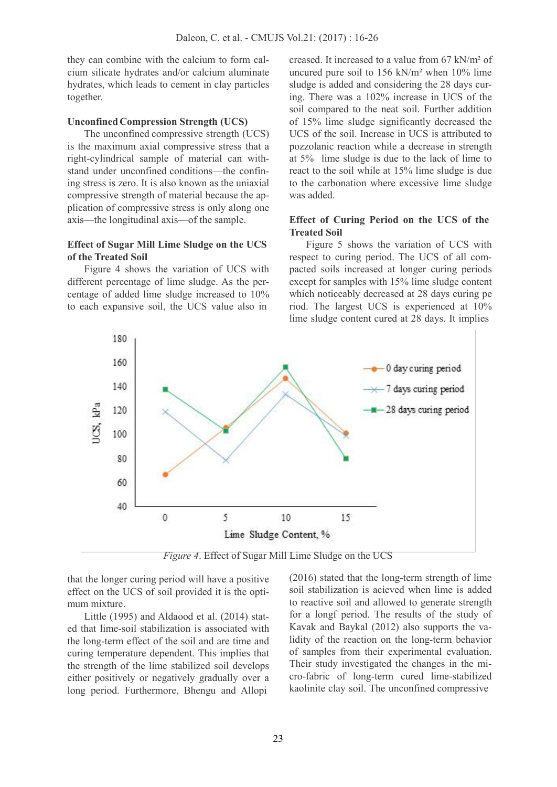they can combine with the calcium to form cal cium silicate hydrates and/or calcium aluminate hydrates, which leads to cement in clay particles together.

#### **UnconfinedCompression Strength (UCS)**

The unconfined compressive strength (UCS) is the maximum axial compressive stress that a right-cylindrical sample of material can with stand under unconfined conditions—the confining stress is zero. It is also known as the uniaxial compressive strength of material because the ap plication of compressive stress is only along one axis—the longitudinal axis—of the sample.

## **Effect of Sugar Mill Lime Sludge on the UCS of the Treated Soil**

Figure 4 shows the variation of UCS with different percentage of lime sludge. As the per centage of added lime sludge increased to 10% to each expansive soil, the UCS value also in

creased. It increased to a value from 67 kN/m² of uncured pure soil to 156 kN/m² when 10% lime sludge is added and considering the 28 days curing. There was a 102% increase in UCS of the soil compared to the neat soil. Further addition of 15% lime sludge significantly decreased the UCS of the soil. Increase in UCS is attributed to pozzolanic reaction while a decrease in strength at 5% lime sludge is due to the lack of lime to react to the soil while at 15% lime sludge is due to the carbonation where excessive lime sludge was added.

## **Effect of Curing Period on the UCS of the Treated Soil**

Figure 5 shows the variation of UCS with respect to curing period. The UCS of all com pacted soils increased at longer curing periods except for samples with 15% lime sludge content which noticeably decreased at 28 days curing pe riod. The largest UCS is experienced at 10% lime sludge content cured at 28 days. It implies



*Figure 4*. Effect of Sugar Mill Lime Sludge on the UCS

that the longer curing period will have a positive effect on the UCS of soil provided it is the opti mum mixture.

Little (1995) and Aldaood et al. (2014) stat ed that lime-soil stabilization is associated with the long-term effect of the soil and are time and curing temperature dependent. This implies that the strength of the lime stabilized soil develops either positively or negatively gradually over a long period. Furthermore, Bhengu and Allopi

(2016) stated that the long-term strength of lime soil stabilization is acieved when lime is added to reactive soil and allowed to generate strength for a longf period. The results of the study of Kavak and Baykal (2012) also supports the validity of the reaction on the long-term behavior of samples from their experimental evaluation. Their study investigated the changes in the mi cro-fabric of long-term cured lime-stabilized kaolinite clay soil. The unconfined compressive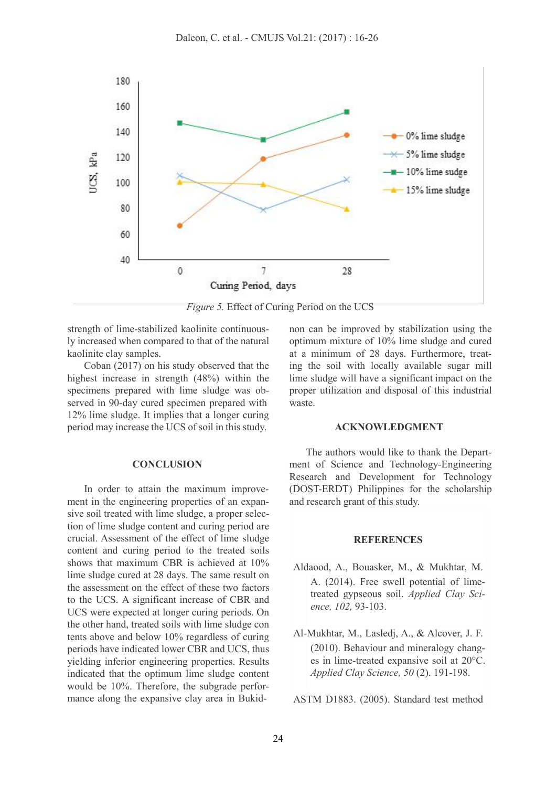

*Figure 5.* Effect of Curing Period on the UCS

strength of lime-stabilized kaolinite continuously increased when compared to that of the natural kaolinite clay samples.

Coban (2017) on his study observed that the highest increase in strength (48%) within the specimens prepared with lime sludge was ob served in 90-day cured specimen prepared with 12% lime sludge. It implies that a longer curing period may increase the UCS of soil in this study.

#### **CONCLUSION**

In order to attain the maximum improve ment in the engineering properties of an expan sive soil treated with lime sludge, a proper selection of lime sludge content and curing period are crucial. Assessment of the effect of lime sludge content and curing period to the treated soils shows that maximum CBR is achieved at 10% lime sludge cured at 28 days. The same result on the assessment on the effect of these two factors to the UCS. A significant increase of CBR and UCS were expected at longer curing periods. On the other hand, treated soilswith lime sludge con tents above and below 10% regardless of curing periods have indicated lower CBR and UCS, thus yielding inferior engineering properties. Results indicated that the optimum lime sludge content would be 10%. Therefore, the subgrade perfor mance along the expansive clay area in Bukidnon can be improved by stabilization using the optimum mixture of 10% lime sludge and cured at a minimum of 28 days. Furthermore, treating the soil with locally available sugar mill lime sludge will have a significant impact on the proper utilization and disposal of this industrial waste.

#### **ACKNOWLEDGMENT**

The authors would like to thank the Depart ment of Science and Technology-Engineering Research and Development for Technology (DOST-ERDT) Philippines for the scholarship and research grant of this study.

#### **REFERENCES**

- Aldaood, A., Bouasker, M., & Mukhtar, M. A. (2014). Free swell potential of limetreated gypseous soil. *Applied Clay Sci ence, 102,* 93-103.
- Al-Mukhtar, M., Lasledj, A., & Alcover, J. F. (2010). Behaviour and mineralogy chang es in lime-treated expansive soil at 20°C. *Applied Clay Science, 50* (2). 191-198.

ASTM D1883. (2005). Standard test method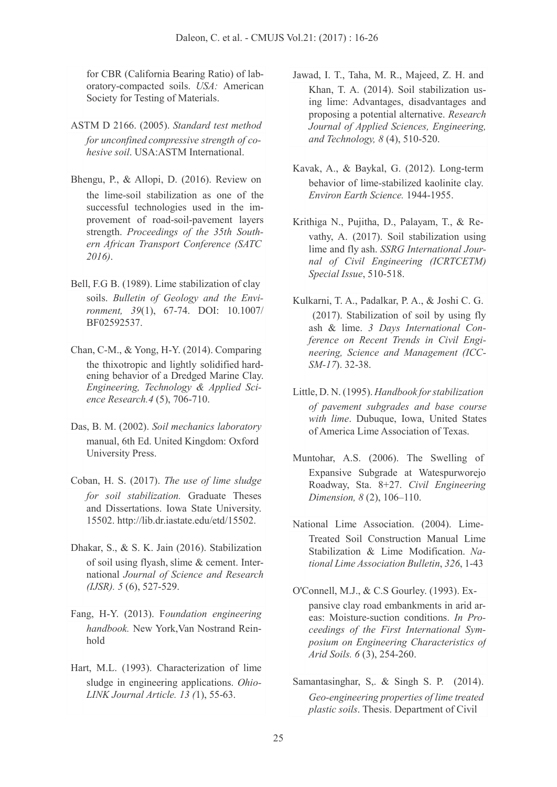for CBR (California Bearing Ratio) of lab oratory-compacted soils. *USA:* American Society for Testing of Materials.

- ASTM D 2166. (2005). *Standard test method for unconfined compressive strength of co hesive soil*. USA:ASTM International.
- Bhengu, P., & Allopi, D. (2016). Review on the lime-soil stabilization as one of the successful technologies used in the im provement of road-soil-pavement layers strength. *Proceedings of the 35th South ern African Transport Conference (SATC 2016)*.
- Bell, F.G B. (1989). Lime stabilization of clay soils. *Bulletin of Geology and the Envi ronment, 39*(1), 67-74. DOI: 10.1007/ BF02592537.
- Chan, C-M., & Yong, H-Y. (2014). Comparing the thixotropic and lightly solidified hard ening behavior of a Dredged Marine Clay. *Engineering, Technology & Applied Sci ence Research.4* (5), 706-710.
- Das, B. M. (2002). *Soil mechanics laboratory* manual, 6th Ed. United Kingdom: Oxford University Press.
- Coban, H. S. (2017). *The use of lime sludge for soil stabilization*. Graduate Theses and Dissertations. Iowa State University. 15502. [http://lib.dr.iastate.edu/etd/15502.](http://lib.dr.iastate.edu/etd/15502)
- Dhakar, S., & S. K. Jain (2016). Stabilization of soil using flyash, slime & cement. Inter national *Journal of Science and Research (IJSR). 5* (6), 527-529.
- Fang, H-Y. (2013). F*oundation engineering handbook.* New York,Van Nostrand Rein hold
- Hart, M.L. (1993). Characterization of lime sludge in engineering applications. *Ohio- LINK Journal Article. 13 (*1), 55-63.
- Jawad, I. T., Taha, M. R., Majeed, Z. H. and Khan, T. A. (2014). Soil stabilization using lime: Advantages, disadvantages and proposing a potential alternative. *Research Journal of Applied Sciences, Engineering, and Technology, 8* (4), 510-520.
- Kavak, A., & Baykal, G. (2012). Long-term behavior of lime-stabilized kaolinite clay. *Environ Earth Science.* 1944-1955.
- Krithiga N., Pujitha, D., Palayam, T., & Re vathy, A. (2017). Soil stabilization using lime and fly ash. *SSRG International Jour nal of Civil Engineering (ICRTCETM) Special Issue*, 510-518.
- Kulkarni, T. A., Padalkar, P. A., & Joshi C. G. (2017). Stabilization of soil by using fly ash & lime. *3 Days International Conference on Recent Trends in Civil Engi neering, Science and Management (ICC- SM-17*). 32-38.
- Little, D. N. (1995). *Handbook forstabilization of pavement subgrades and base course with lime*. Dubuque, Iowa, United States of America Lime Association of Texas.
- Muntohar, A.S. (2006). The Swelling of Expansive Subgrade at Watespurworejo Roadway, Sta. 8+27. *Civil Engineering Dimension, 8* (2), 106–110.
- National Lime Association. (2004). Lime- Treated Soil Construction Manual Lime Stabilization & Lime Modification. *National Lime Association Bulletin*, *326*, 1-43
- O'Connell, M.J., & C.S Gourley. (1993). Ex pansive clay road embankments in arid ar eas: Moisture-suction conditions. *In Pro ceedings of the First International Sym posium on Engineering Characteristics of Arid Soils. 6* (3), 254-260.
- Samantasinghar, S., & Singh S. P. (2014). *Geo-engineering properties of lime treated plastic soils*. Thesis. Department of Civil